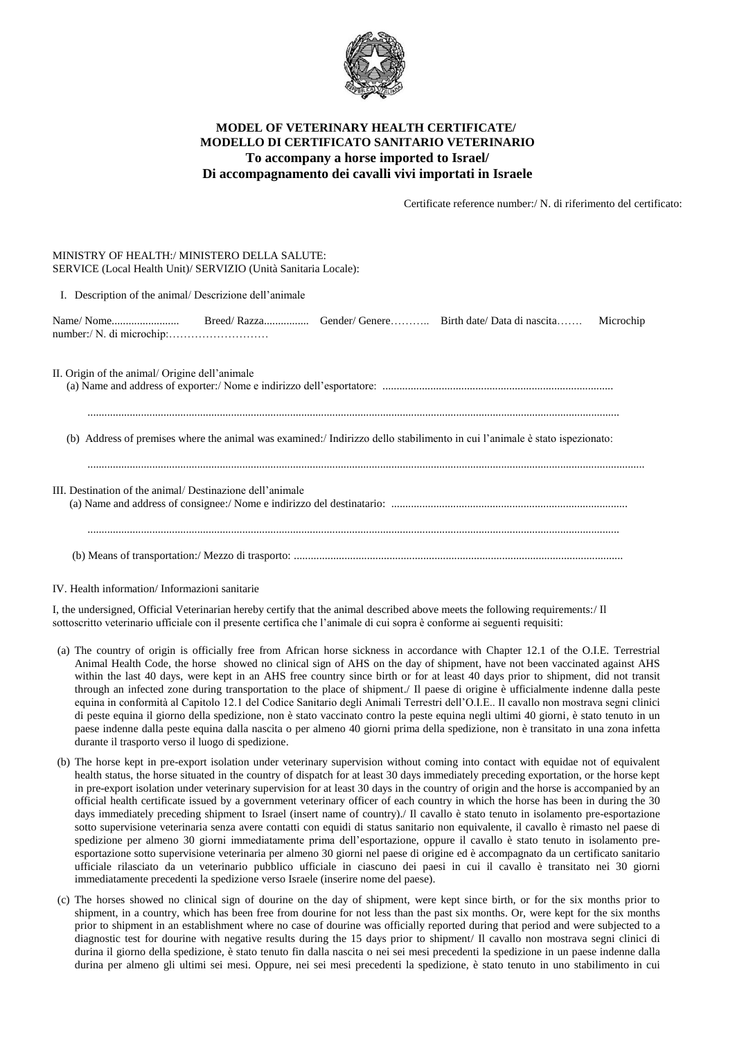

# **MODEL OF VETERINARY HEALTH CERTIFICATE/ MODELLO DI CERTIFICATO SANITARIO VETERINARIO To accompany a horse imported to Israel/ Di accompagnamento dei cavalli vivi importati in Israele**

Certificate reference number:/ N. di riferimento del certificato:

### MINISTRY OF HEALTH:/ MINISTERO DELLA SALUTE: SERVICE (Local Health Unit)/ SERVIZIO (Unità Sanitaria Locale):

I. Description of the animal/ Descrizione dell'animale

Name/ Nome........................ Breed/ Razza................ Gender/ Genere……….. Birth date/ Data di nascita……. Microchip number:/ N. di microchip:………………………

II. Origin of the animal/ Origine dell'animale (a) Name and address of exporter:/ Nome e indirizzo dell'esportatore: ..................................................................................

(b) Address of premises where the animal was examined:/ Indirizzo dello stabilimento in cui l'animale è stato ispezionato:

.............................................................................................................................................................................................

| III. Destination of the animal/Destinazione dell'animale |  |
|----------------------------------------------------------|--|
|                                                          |  |
|                                                          |  |

IV. Health information/ Informazioni sanitarie

I, the undersigned, Official Veterinarian hereby certify that the animal described above meets the following requirements:/ Il sottoscritto veterinario ufficiale con il presente certifica che l'animale di cui sopra è conforme ai seguenti requisiti:

- (a) The country of origin is officially free from African horse sickness in accordance with Chapter 12.1 of the O.I.E. Terrestrial Animal Health Code, the horse showed no clinical sign of AHS on the day of shipment, have not been vaccinated against AHS within the last 40 days, were kept in an AHS free country since birth or for at least 40 days prior to shipment, did not transit through an infected zone during transportation to the place of shipment./ Il paese di origine è ufficialmente indenne dalla peste equina in conformità al Capitolo 12.1 del Codice Sanitario degli Animali Terrestri dell'O.I.E.. Il cavallo non mostrava segni clinici di peste equina il giorno della spedizione, non è stato vaccinato contro la peste equina negli ultimi 40 giorni, è stato tenuto in un paese indenne dalla peste equina dalla nascita o per almeno 40 giorni prima della spedizione, non è transitato in una zona infetta durante il trasporto verso il luogo di spedizione.
- (b) The horse kept in pre-export isolation under veterinary supervision without coming into contact with equidae not of equivalent health status, the horse situated in the country of dispatch for at least 30 days immediately preceding exportation, or the horse kept in pre-export isolation under veterinary supervision for at least 30 days in the country of origin and the horse is accompanied by an official health certificate issued by a government veterinary officer of each country in which the horse has been in during the 30 days immediately preceding shipment to Israel (insert name of country)./ Il cavallo è stato tenuto in isolamento pre-esportazione sotto supervisione veterinaria senza avere contatti con equidi di status sanitario non equivalente, il cavallo è rimasto nel paese di spedizione per almeno 30 giorni immediatamente prima dell'esportazione, oppure il cavallo è stato tenuto in isolamento preesportazione sotto supervisione veterinaria per almeno 30 giorni nel paese di origine ed è accompagnato da un certificato sanitario ufficiale rilasciato da un veterinario pubblico ufficiale in ciascuno dei paesi in cui il cavallo è transitato nei 30 giorni immediatamente precedenti la spedizione verso Israele (inserire nome del paese).
- (c) The horses showed no clinical sign of dourine on the day of shipment, were kept since birth, or for the six months prior to shipment, in a country, which has been free from dourine for not less than the past six months. Or, were kept for the six months prior to shipment in an establishment where no case of dourine was officially reported during that period and were subjected to a diagnostic test for dourine with negative results during the 15 days prior to shipment/ Il cavallo non mostrava segni clinici di durina il giorno della spedizione, è stato tenuto fin dalla nascita o nei sei mesi precedenti la spedizione in un paese indenne dalla durina per almeno gli ultimi sei mesi. Oppure, nei sei mesi precedenti la spedizione, è stato tenuto in uno stabilimento in cui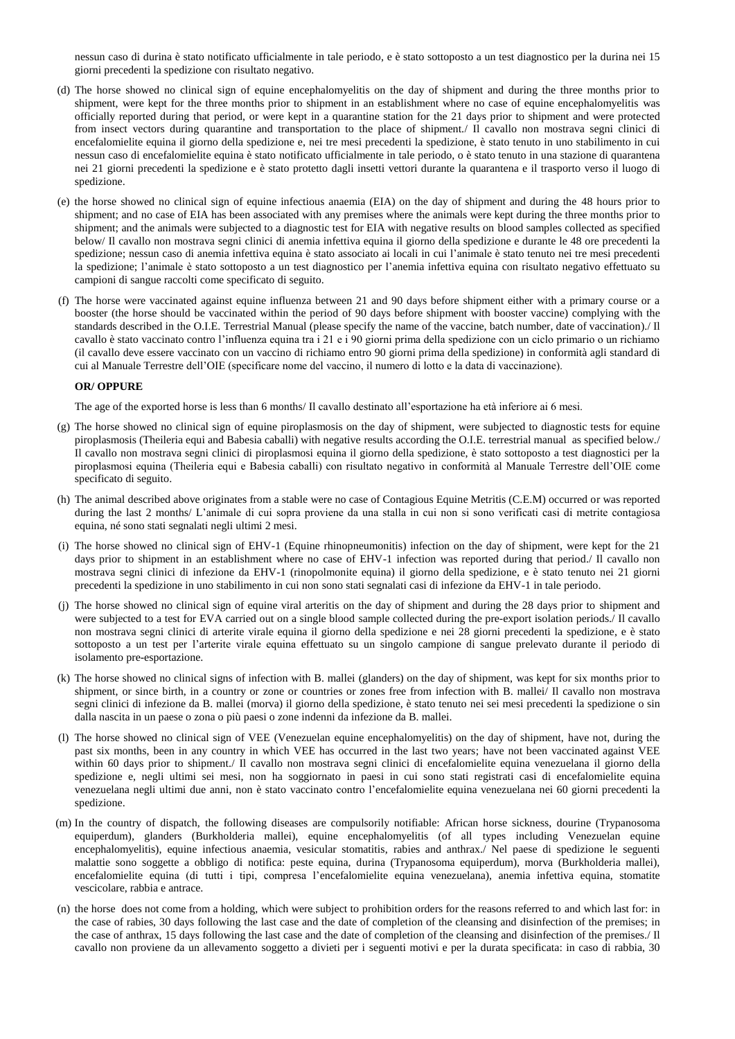nessun caso di durina è stato notificato ufficialmente in tale periodo, e è stato sottoposto a un test diagnostico per la durina nei 15 giorni precedenti la spedizione con risultato negativo.

- (d) The horse showed no clinical sign of equine encephalomyelitis on the day of shipment and during the three months prior to shipment, were kept for the three months prior to shipment in an establishment where no case of equine encephalomyelitis was officially reported during that period, or were kept in a quarantine station for the 21 days prior to shipment and were protected from insect vectors during quarantine and transportation to the place of shipment./ Il cavallo non mostrava segni clinici di encefalomielite equina il giorno della spedizione e, nei tre mesi precedenti la spedizione, è stato tenuto in uno stabilimento in cui nessun caso di encefalomielite equina è stato notificato ufficialmente in tale periodo, o è stato tenuto in una stazione di quarantena nei 21 giorni precedenti la spedizione e è stato protetto dagli insetti vettori durante la quarantena e il trasporto verso il luogo di spedizione.
- (e) the horse showed no clinical sign of equine infectious anaemia (EIA) on the day of shipment and during the 48 hours prior to shipment; and no case of EIA has been associated with any premises where the animals were kept during the three months prior to shipment; and the animals were subjected to a diagnostic test for EIA with negative results on blood samples collected as specified below/ Il cavallo non mostrava segni clinici di anemia infettiva equina il giorno della spedizione e durante le 48 ore precedenti la spedizione; nessun caso di anemia infettiva equina è stato associato ai locali in cui l'animale è stato tenuto nei tre mesi precedenti la spedizione; l'animale è stato sottoposto a un test diagnostico per l'anemia infettiva equina con risultato negativo effettuato su campioni di sangue raccolti come specificato di seguito.
- (f) The horse were vaccinated against equine influenza between 21 and 90 days before shipment either with a primary course or a booster (the horse should be vaccinated within the period of 90 days before shipment with booster vaccine) complying with the standards described in the O.I.E. Terrestrial Manual (please specify the name of the vaccine, batch number, date of vaccination)./ Il cavallo è stato vaccinato contro l'influenza equina tra i 21 e i 90 giorni prima della spedizione con un ciclo primario o un richiamo (il cavallo deve essere vaccinato con un vaccino di richiamo entro 90 giorni prima della spedizione) in conformità agli standard di cui al Manuale Terrestre dell'OIE (specificare nome del vaccino, il numero di lotto e la data di vaccinazione).

#### **OR/ OPPURE**

The age of the exported horse is less than 6 months/ Il cavallo destinato all'esportazione ha età inferiore ai 6 mesi.

- (g) The horse showed no clinical sign of equine piroplasmosis on the day of shipment, were subjected to diagnostic tests for equine piroplasmosis (Theileria equi and Babesia caballi) with negative results according the O.I.E. terrestrial manual as specified below./ Il cavallo non mostrava segni clinici di piroplasmosi equina il giorno della spedizione, è stato sottoposto a test diagnostici per la piroplasmosi equina (Theileria equi e Babesia caballi) con risultato negativo in conformità al Manuale Terrestre dell'OIE come specificato di seguito.
- (h) The animal described above originates from a stable were no case of Contagious Equine Metritis (C.E.M) occurred or was reported during the last 2 months/ L'animale di cui sopra proviene da una stalla in cui non si sono verificati casi di metrite contagiosa equina, né sono stati segnalati negli ultimi 2 mesi.
- (i) The horse showed no clinical sign of EHV-1 (Equine rhinopneumonitis) infection on the day of shipment, were kept for the 21 days prior to shipment in an establishment where no case of EHV-1 infection was reported during that period./ Il cavallo non mostrava segni clinici di infezione da EHV-1 (rinopolmonite equina) il giorno della spedizione, e è stato tenuto nei 21 giorni precedenti la spedizione in uno stabilimento in cui non sono stati segnalati casi di infezione da EHV-1 in tale periodo.
- (j) The horse showed no clinical sign of equine viral arteritis on the day of shipment and during the 28 days prior to shipment and were subjected to a test for EVA carried out on a single blood sample collected during the pre-export isolation periods./ Il cavallo non mostrava segni clinici di arterite virale equina il giorno della spedizione e nei 28 giorni precedenti la spedizione, e è stato sottoposto a un test per l'arterite virale equina effettuato su un singolo campione di sangue prelevato durante il periodo di isolamento pre-esportazione.
- (k) The horse showed no clinical signs of infection with B. mallei (glanders) on the day of shipment, was kept for six months prior to shipment, or since birth, in a country or zone or countries or zones free from infection with B. mallei/ Il cavallo non mostrava segni clinici di infezione da B. mallei (morva) il giorno della spedizione, è stato tenuto nei sei mesi precedenti la spedizione o sin dalla nascita in un paese o zona o più paesi o zone indenni da infezione da B. mallei.
- (l) The horse showed no clinical sign of VEE (Venezuelan equine encephalomyelitis) on the day of shipment, have not, during the past six months, been in any country in which VEE has occurred in the last two years; have not been vaccinated against VEE within 60 days prior to shipment./ Il cavallo non mostrava segni clinici di encefalomielite equina venezuelana il giorno della spedizione e, negli ultimi sei mesi, non ha soggiornato in paesi in cui sono stati registrati casi di encefalomielite equina venezuelana negli ultimi due anni, non è stato vaccinato contro l'encefalomielite equina venezuelana nei 60 giorni precedenti la spedizione.
- (m) In the country of dispatch, the following diseases are compulsorily notifiable: African horse sickness, dourine (Trypanosoma equiperdum), glanders (Burkholderia mallei), equine encephalomyelitis (of all types including Venezuelan equine encephalomyelitis), equine infectious anaemia, vesicular stomatitis, rabies and anthrax./ Nel paese di spedizione le seguenti malattie sono soggette a obbligo di notifica: peste equina, durina (Trypanosoma equiperdum), morva (Burkholderia mallei), encefalomielite equina (di tutti i tipi, compresa l'encefalomielite equina venezuelana), anemia infettiva equina, stomatite vescicolare, rabbia e antrace.
- (n) the horse does not come from a holding, which were subject to prohibition orders for the reasons referred to and which last for: in the case of rabies, 30 days following the last case and the date of completion of the cleansing and disinfection of the premises; in the case of anthrax, 15 days following the last case and the date of completion of the cleansing and disinfection of the premises./ Il cavallo non proviene da un allevamento soggetto a divieti per i seguenti motivi e per la durata specificata: in caso di rabbia, 30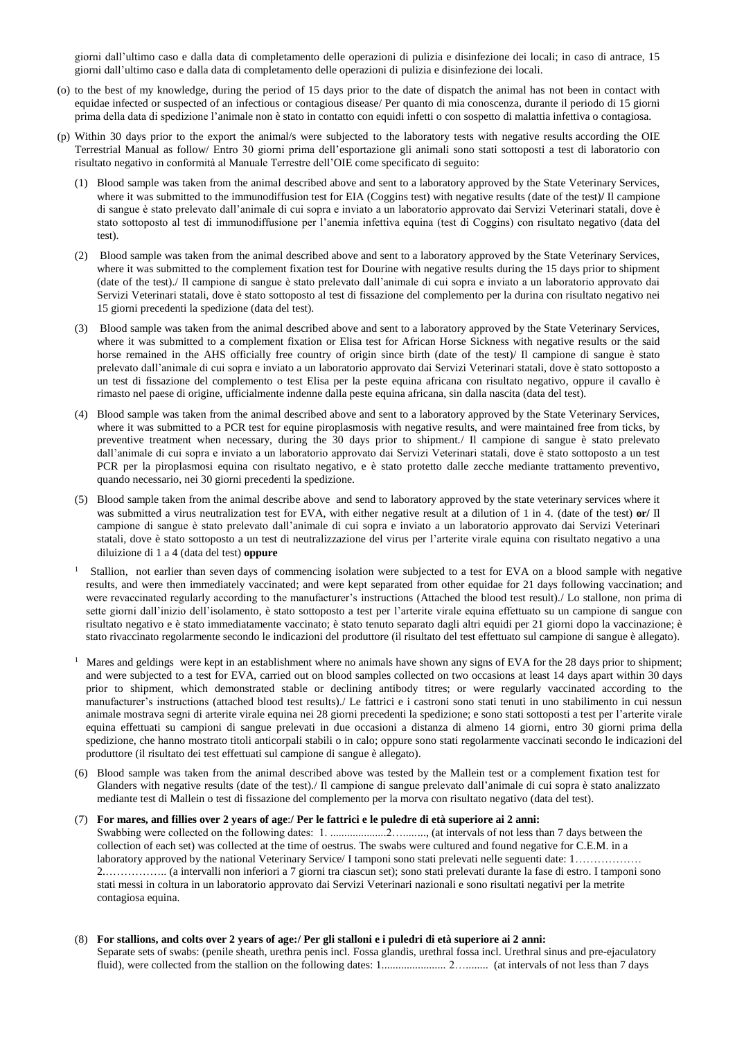giorni dall'ultimo caso e dalla data di completamento delle operazioni di pulizia e disinfezione dei locali; in caso di antrace, 15 giorni dall'ultimo caso e dalla data di completamento delle operazioni di pulizia e disinfezione dei locali.

- (o) to the best of my knowledge, during the period of 15 days prior to the date of dispatch the animal has not been in contact with equidae infected or suspected of an infectious or contagious disease/ Per quanto di mia conoscenza, durante il periodo di 15 giorni prima della data di spedizione l'animale non è stato in contatto con equidi infetti o con sospetto di malattia infettiva o contagiosa.
- (p) Within 30 days prior to the export the animal/s were subjected to the laboratory tests with negative results according the OIE Terrestrial Manual as follow/ Entro 30 giorni prima dell'esportazione gli animali sono stati sottoposti a test di laboratorio con risultato negativo in conformità al Manuale Terrestre dell'OIE come specificato di seguito:
	- (1) Blood sample was taken from the animal described above and sent to a laboratory approved by the State Veterinary Services, where it was submitted to the immunodiffusion test for EIA (Coggins test) with negative results (date of the test)**/** Il campione di sangue è stato prelevato dall'animale di cui sopra e inviato a un laboratorio approvato dai Servizi Veterinari statali, dove è stato sottoposto al test di immunodiffusione per l'anemia infettiva equina (test di Coggins) con risultato negativo (data del test).
	- (2) Blood sample was taken from the animal described above and sent to a laboratory approved by the State Veterinary Services, where it was submitted to the complement fixation test for Dourine with negative results during the 15 days prior to shipment (date of the test)./ Il campione di sangue è stato prelevato dall'animale di cui sopra e inviato a un laboratorio approvato dai Servizi Veterinari statali, dove è stato sottoposto al test di fissazione del complemento per la durina con risultato negativo nei 15 giorni precedenti la spedizione (data del test).
	- (3) Blood sample was taken from the animal described above and sent to a laboratory approved by the State Veterinary Services, where it was submitted to a complement fixation or Elisa test for African Horse Sickness with negative results or the said horse remained in the AHS officially free country of origin since birth (date of the test)/ Il campione di sangue è stato prelevato dall'animale di cui sopra e inviato a un laboratorio approvato dai Servizi Veterinari statali, dove è stato sottoposto a un test di fissazione del complemento o test Elisa per la peste equina africana con risultato negativo, oppure il cavallo è rimasto nel paese di origine, ufficialmente indenne dalla peste equina africana, sin dalla nascita (data del test).
	- (4) Blood sample was taken from the animal described above and sent to a laboratory approved by the State Veterinary Services, where it was submitted to a PCR test for equine piroplasmosis with negative results, and were maintained free from ticks, by preventive treatment when necessary, during the 30 days prior to shipment./ Il campione di sangue è stato prelevato dall'animale di cui sopra e inviato a un laboratorio approvato dai Servizi Veterinari statali, dove è stato sottoposto a un test PCR per la piroplasmosi equina con risultato negativo, e è stato protetto dalle zecche mediante trattamento preventivo, quando necessario, nei 30 giorni precedenti la spedizione.
	- (5) Blood sample taken from the animal describe above and send to laboratory approved by the state veterinary services where it was submitted a virus neutralization test for EVA, with either negative result at a dilution of 1 in 4. (date of the test) **or/** Il campione di sangue è stato prelevato dall'animale di cui sopra e inviato a un laboratorio approvato dai Servizi Veterinari statali, dove è stato sottoposto a un test di neutralizzazione del virus per l'arterite virale equina con risultato negativo a una diluizione di 1 a 4 (data del test) **oppure**
	- <sup>1</sup> Stallion, not earlier than seven days of commencing isolation were subjected to a test for EVA on a blood sample with negative results, and were then immediately vaccinated; and were kept separated from other equidae for 21 days following vaccination; and were revaccinated regularly according to the manufacturer's instructions (Attached the blood test result)./ Lo stallone, non prima di sette giorni dall'inizio dell'isolamento, è stato sottoposto a test per l'arterite virale equina effettuato su un campione di sangue con risultato negativo e è stato immediatamente vaccinato; è stato tenuto separato dagli altri equidi per 21 giorni dopo la vaccinazione; è stato rivaccinato regolarmente secondo le indicazioni del produttore (il risultato del test effettuato sul campione di sangue è allegato).
	- 1 Mares and geldings were kept in an [establishment](http://www.oie.int/index.php?id=169&L=0&htmfile=glossaire.htm#terme_exploitation) where n[o animals](http://www.oie.int/index.php?id=169&L=0&htmfile=glossaire.htm#terme_animal) have shown any signs of EVA for the 28 days prior to shipment; and were subjected to a test for EVA, carried out on blood samples collected on two occasions at least 14 days apart within 30 days prior to shipment, which demonstrated stable or declining antibody titres; or were regularly vaccinated according to the manufacturer's instructions (attached blood test results)./ Le fattrici e i castroni sono stati tenuti in uno stabilimento in cui nessun animale mostrava segni di arterite virale equina nei 28 giorni precedenti la spedizione; e sono stati sottoposti a test per l'arterite virale equina effettuati su campioni di sangue prelevati in due occasioni a distanza di almeno 14 giorni, entro 30 giorni prima della spedizione, che hanno mostrato titoli anticorpali stabili o in calo; oppure sono stati regolarmente vaccinati secondo le indicazioni del produttore (il risultato dei test effettuati sul campione di sangue è allegato).
	- (6) Blood sample was taken from the animal described above was tested by the Mallein test or a complement fixation test for Glanders with negative results (date of the test)./ Il campione di sangue prelevato dall'animale di cui sopra è stato analizzato mediante test di Mallein o test di fissazione del complemento per la morva con risultato negativo (data del test).

## (7) **For mares, and fillies over 2 years of age**:**/ Per le fattrici e le puledre di età superiore ai 2 anni:** Swabbing were collected on the following dates: 1. ....................2…........, (at intervals of not less than 7 days between the collection of each set) was collected at the time of oestrus. The swabs were cultured and found negative for C.E.M. in a laboratory approved by the national Veterinary Service/ I tamponi sono stati prelevati nelle seguenti date: 1……………… 2.…………….. (a intervalli non inferiori a 7 giorni tra ciascun set); sono stati prelevati durante la fase di estro. I tamponi sono stati messi in coltura in un laboratorio approvato dai Servizi Veterinari nazionali e sono risultati negativi per la metrite contagiosa equina.

(8) **For stallions, and colts over 2 years of age:/ Per gli stalloni e i puledri di età superiore ai 2 anni:** Separate sets of swabs: (penile sheath, urethra penis incl. Fossa glandis, urethral fossa incl. Urethral sinus and pre-ejaculatory fluid), were collected from the stallion on the following dates: 1....................... 2…........ (at intervals of not less than 7 days